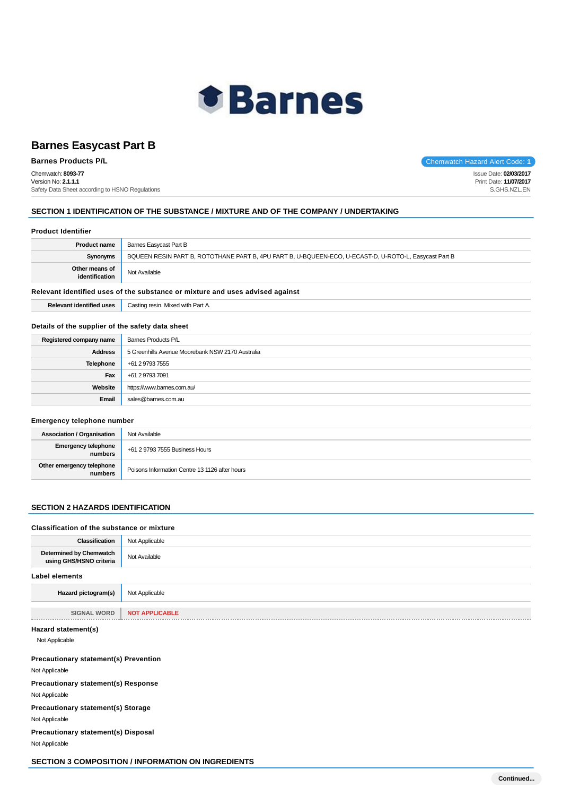

Chemwatch: **8093-77** Version No: **2.1.1.1** Safety Data Sheet according to HSNO Regulations

**Barnes Products P/L Chemwatch Hazard Alert Code: 1** 

Issue Date: **02/03/2017** Print Date: **11/07/2017** S.GHS.NZL.EN

## **SECTION 1 IDENTIFICATION OF THE SUBSTANCE / MIXTURE AND OF THE COMPANY / UNDERTAKING**

#### **Product Identifier**

| <b>Product name</b>                                                           | Barnes Easycast Part B                                                                                |  |
|-------------------------------------------------------------------------------|-------------------------------------------------------------------------------------------------------|--|
| Synonyms                                                                      | BQUEEN RESIN PART B, ROTOTHANE PART B, 4PU PART B, U-BQUEEN-ECO, U-ECAST-D, U-ROTO-L, Easycast Part B |  |
| Other means of<br>identification                                              | Not Available                                                                                         |  |
| Polovant identified uses of the substance or mivture and uses advised oneinst |                                                                                                       |  |

#### **Relevant identified uses of the substance or mixture and uses advised against**

| <b>Relevant identified uses</b> | Casting resin. Mixed with Part A. |
|---------------------------------|-----------------------------------|
|---------------------------------|-----------------------------------|

### **Details of the supplier of the safety data sheet**

| Registered company name | Barnes Products P/L                              |
|-------------------------|--------------------------------------------------|
| <b>Address</b>          | 5 Greenhills Avenue Moorebank NSW 2170 Australia |
| <b>Telephone</b>        | +61 2 9793 7555                                  |
| Fax                     | +61 2 9793 7091                                  |
| Website                 | https://www.barnes.com.au/                       |
| Email                   | sales@barnes.com.au                              |

#### **Emergency telephone number**

| <b>Association / Organisation</b>    | Not Available                                  |
|--------------------------------------|------------------------------------------------|
| Emergency telephone<br>numbers       | +61 2 9793 7555 Business Hours                 |
| Other emergency telephone<br>numbers | Poisons Information Centre 13 1126 after hours |

#### **SECTION 2 HAZARDS IDENTIFICATION**

# **Classification of the substance or mixture Classification** Not Applicable **Determined by Chemwatch Jetermined by Chemwatch** Not Available using GHS/HSNO criteria **Label elements Hazard pictogram(s)** Not Applicable **SIGNAL WORD NOT APPLICABLE**

**Hazard statement(s)**

Not Applicable

#### **Precautionary statement(s) Prevention**

Not Applicable

**Precautionary statement(s) Response**

Not Applicable

**Precautionary statement(s) Storage**

Not Applicable

**Precautionary statement(s) Disposal**

Not Applicable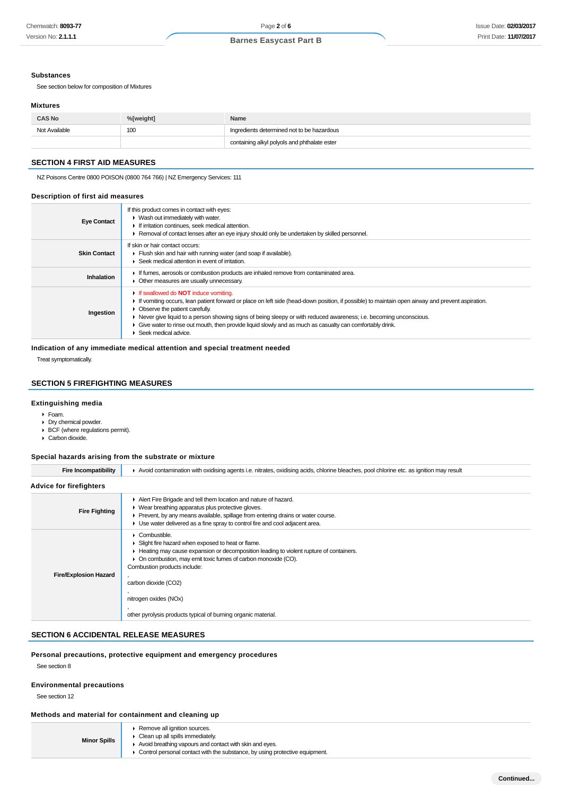#### **Substances**

See section below for composition of Mixtures

#### **Mixtures**

| <b>CAS No</b> | %[weight]       | Name                                         |  |
|---------------|-----------------|----------------------------------------------|--|
| Not Available | 10 <sup>c</sup> | Ingredients determined not to be hazardous   |  |
|               |                 | containing alkyl polyols and phthalate ester |  |

## **SECTION 4 FIRST AID MEASURES**

NZ Poisons Centre 0800 POISON (0800 764 766) | NZ Emergency Services: 111

#### **Description of first aid measures**

| <b>Eye Contact</b>  | If this product comes in contact with eyes:<br>• Wash out immediately with water.<br>If irritation continues, seek medical attention.<br>Removal of contact lenses after an eye injury should only be undertaken by skilled personnel.                                                                                                                                                                                                                                                         |
|---------------------|------------------------------------------------------------------------------------------------------------------------------------------------------------------------------------------------------------------------------------------------------------------------------------------------------------------------------------------------------------------------------------------------------------------------------------------------------------------------------------------------|
| <b>Skin Contact</b> | If skin or hair contact occurs:<br>Fiush skin and hair with running water (and soap if available).<br>$\blacktriangleright$ Seek medical attention in event of irritation.                                                                                                                                                                                                                                                                                                                     |
| Inhalation          | If fumes, aerosols or combustion products are inhaled remove from contaminated area.<br>Other measures are usually unnecessary.                                                                                                                                                                                                                                                                                                                                                                |
| Ingestion           | If swallowed do <b>NOT</b> induce vomiting.<br>If vomiting occurs, lean patient forward or place on left side (head-down position, if possible) to maintain open airway and prevent aspiration.<br>• Observe the patient carefully.<br>► Never give liquid to a person showing signs of being sleepy or with reduced awareness; i.e. becoming unconscious.<br>Give water to rinse out mouth, then provide liquid slowly and as much as casualty can comfortably drink.<br>Seek medical advice. |

## **Indication of any immediate medical attention and special treatment needed**

Treat symptomatically.

## **SECTION 5 FIREFIGHTING MEASURES**

#### **Extinguishing media**

- Foam.
- Dry chemical powder.
- BCF (where regulations permit).
- Carbon dioxide.

## **Special hazards arising from the substrate or mixture**

| <b>Fire Incompatibility</b>    | Avoid contamination with oxidising agents i.e. nitrates, oxidising acids, chlorine bleaches, pool chlorine etc. as ignition may result                                                                                                                                                                                                                                            |  |  |
|--------------------------------|-----------------------------------------------------------------------------------------------------------------------------------------------------------------------------------------------------------------------------------------------------------------------------------------------------------------------------------------------------------------------------------|--|--|
| <b>Advice for firefighters</b> |                                                                                                                                                                                                                                                                                                                                                                                   |  |  |
| <b>Fire Fighting</b>           | Alert Fire Brigade and tell them location and nature of hazard.<br>• Wear breathing apparatus plus protective gloves.<br>► Prevent, by any means available, spillage from entering drains or water course.<br>► Use water delivered as a fine spray to control fire and cool adjacent area.                                                                                       |  |  |
| <b>Fire/Explosion Hazard</b>   | Combustible.<br>Slight fire hazard when exposed to heat or flame.<br>► Heating may cause expansion or decomposition leading to violent rupture of containers.<br>• On combustion, may emit toxic fumes of carbon monoxide (CO).<br>Combustion products include:<br>carbon dioxide (CO2)<br>nitrogen oxides (NOx)<br>other pyrolysis products typical of burning organic material. |  |  |

## **SECTION 6 ACCIDENTAL RELEASE MEASURES**

#### **Personal precautions, protective equipment and emergency procedures**

See section 8

#### **Environmental precautions**

See section 12

#### **Methods and material for containment and cleaning up**

| ▶ Remove all ignition sources.<br>$\triangleright$ Clean up all spills immediately.<br><b>Minor Spills</b><br>Avoid breathing vapours and contact with skin and eyes.<br>$\triangleright$ Control personal contact with the substance, by using protective equipment. |
|-----------------------------------------------------------------------------------------------------------------------------------------------------------------------------------------------------------------------------------------------------------------------|
|-----------------------------------------------------------------------------------------------------------------------------------------------------------------------------------------------------------------------------------------------------------------------|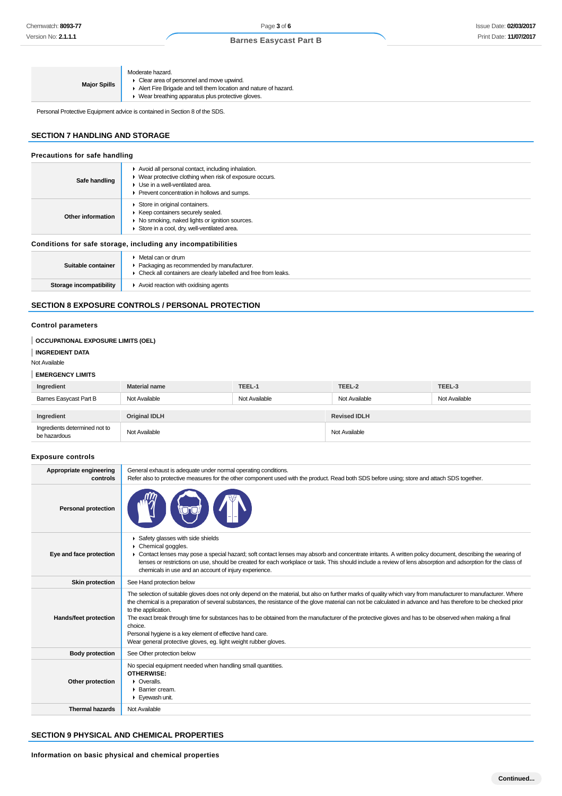|                     | Moderate hazard.        |
|---------------------|-------------------------|
| <b>Major Spills</b> | • Clear area of personn |
|                     | Alert Fire Brigade and  |
|                     | L. Maarkroothing anno   |

Clear area of personnel and move upwind.

- Alert Fire Brigade and tell them location and nature of hazard.
- ▶ Wear breathing apparatus plus protective gloves. H

Personal Protective Equipment advice is contained in Section 8 of the SDS.

## **SECTION 7 HANDLING AND STORAGE**

| Precautions for safe handling |                                                                                                                                                                                                                        |  |
|-------------------------------|------------------------------------------------------------------------------------------------------------------------------------------------------------------------------------------------------------------------|--|
| Safe handling                 | Avoid all personal contact, including inhalation.<br>• Wear protective clothing when risk of exposure occurs.<br>$\blacktriangleright$ Use in a well-ventilated area.<br>▶ Prevent concentration in hollows and sumps. |  |
| Other information             | Store in original containers.<br>▶ Keep containers securely sealed.<br>▶ No smoking, naked lights or ignition sources.<br>Store in a cool, dry, well-ventilated area.                                                  |  |
|                               | Conditions for safe storage, including any incompatibilities                                                                                                                                                           |  |
| Suitable container            | $\triangleright$ Metal can or drum<br>▶ Packaging as recommended by manufacturer.<br>• Check all containers are clearly labelled and free from leaks.                                                                  |  |
| Storage incompatibility       | $\blacktriangleright$ Avoid reaction with oxidising agents                                                                                                                                                             |  |

## **SECTION 8 EXPOSURE CONTROLS / PERSONAL PROTECTION**

## **Control parameters**

**INGREDIENT DATA**

Not Available

#### **EMERGENCY LIMITS**

| Ingredient                                    | <b>Material name</b> | TEEL-1        | TEEL-2              | TEEL-3        |
|-----------------------------------------------|----------------------|---------------|---------------------|---------------|
| Barnes Easycast Part B                        | Not Available        | Not Available | Not Available       | Not Available |
|                                               |                      |               |                     |               |
| Ingredient                                    | <b>Original IDLH</b> |               | <b>Revised IDLH</b> |               |
| Ingredients determined not to<br>be hazardous | Not Available        |               | Not Available       |               |

#### **Exposure controls**

| Appropriate engineering<br>controls | General exhaust is adequate under normal operating conditions.<br>Refer also to protective measures for the other component used with the product. Read both SDS before using; store and attach SDS together.                                                                                                                                                                                                                                                                                                                                                                                                                                                     |
|-------------------------------------|-------------------------------------------------------------------------------------------------------------------------------------------------------------------------------------------------------------------------------------------------------------------------------------------------------------------------------------------------------------------------------------------------------------------------------------------------------------------------------------------------------------------------------------------------------------------------------------------------------------------------------------------------------------------|
| <b>Personal protection</b>          |                                                                                                                                                                                                                                                                                                                                                                                                                                                                                                                                                                                                                                                                   |
| Eye and face protection             | Safety glasses with side shields<br>Chemical goggles.<br>> Contact lenses may pose a special hazard; soft contact lenses may absorb and concentrate irritants. A written policy document, describing the wearing of<br>lenses or restrictions on use, should be created for each workplace or task. This should include a review of lens absorption and adsorption for the class of<br>chemicals in use and an account of injury experience.                                                                                                                                                                                                                      |
| <b>Skin protection</b>              | See Hand protection below                                                                                                                                                                                                                                                                                                                                                                                                                                                                                                                                                                                                                                         |
| Hands/feet protection               | The selection of suitable gloves does not only depend on the material, but also on further marks of quality which vary from manufacturer to manufacturer. Where<br>the chemical is a preparation of several substances, the resistance of the glove material can not be calculated in advance and has therefore to be checked prior<br>to the application.<br>The exact break through time for substances has to be obtained from the manufacturer of the protective gloves and has to be observed when making a final<br>choice.<br>Personal hygiene is a key element of effective hand care.<br>Wear general protective gloves, eg. light weight rubber gloves. |
| <b>Body protection</b>              | See Other protection below                                                                                                                                                                                                                                                                                                                                                                                                                                                                                                                                                                                                                                        |
| Other protection                    | No special equipment needed when handling small quantities.<br>OTHERWISE:<br>$\triangleright$ Overalls.<br>▶ Barrier cream.<br>Eyewash unit.                                                                                                                                                                                                                                                                                                                                                                                                                                                                                                                      |
| <b>Thermal hazards</b>              | Not Available                                                                                                                                                                                                                                                                                                                                                                                                                                                                                                                                                                                                                                                     |

## **SECTION 9 PHYSICAL AND CHEMICAL PROPERTIES**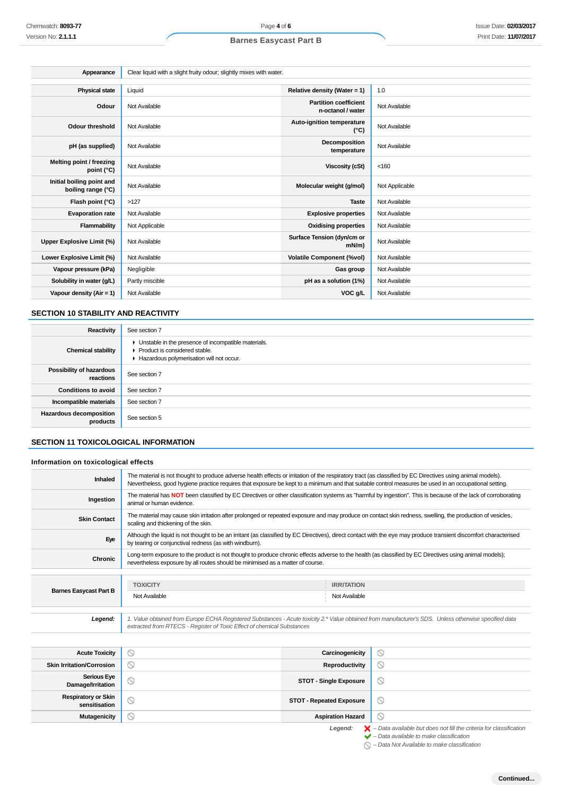| Appearance                                      | Clear liquid with a slight fruity odour; slightly mixes with water. |                                                   |                |
|-------------------------------------------------|---------------------------------------------------------------------|---------------------------------------------------|----------------|
|                                                 |                                                                     |                                                   |                |
| <b>Physical state</b>                           | Liquid                                                              | Relative density (Water = $1$ )                   | 1.0            |
| Odour                                           | Not Available                                                       | <b>Partition coefficient</b><br>n-octanol / water | Not Available  |
| Odour threshold                                 | Not Available                                                       | Auto-ignition temperature<br>$(^{\circ}C)$        | Not Available  |
| pH (as supplied)                                | Not Available                                                       | Decomposition<br>temperature                      | Not Available  |
| Melting point / freezing<br>point (°C)          | Not Available                                                       | Viscosity (cSt)                                   | < 160          |
| Initial boiling point and<br>boiling range (°C) | Not Available                                                       | Molecular weight (g/mol)                          | Not Applicable |
| Flash point (°C)                                | >127                                                                | <b>Taste</b>                                      | Not Available  |
| <b>Evaporation rate</b>                         | Not Available                                                       | <b>Explosive properties</b>                       | Not Available  |
| Flammability                                    | Not Applicable                                                      | <b>Oxidising properties</b>                       | Not Available  |
| Upper Explosive Limit (%)                       | Not Available                                                       | Surface Tension (dyn/cm or<br>$mN/m$ )            | Not Available  |
| Lower Explosive Limit (%)                       | Not Available                                                       | <b>Volatile Component (%vol)</b>                  | Not Available  |
| Vapour pressure (kPa)                           | Negligible                                                          | Gas group                                         | Not Available  |
| Solubility in water (g/L)                       | Partly miscible                                                     | pH as a solution (1%)                             | Not Available  |
| Vapour density (Air = 1)                        | Not Available                                                       | VOC g/L                                           | Not Available  |

## **SECTION 10 STABILITY AND REACTIVITY**

| Reactivity                                 | See section 7                                                                                                                        |
|--------------------------------------------|--------------------------------------------------------------------------------------------------------------------------------------|
| <b>Chemical stability</b>                  | • Unstable in the presence of incompatible materials.<br>▶ Product is considered stable.<br>Hazardous polymerisation will not occur. |
| Possibility of hazardous<br>reactions      | See section 7                                                                                                                        |
| <b>Conditions to avoid</b>                 | See section 7                                                                                                                        |
| Incompatible materials                     | See section 7                                                                                                                        |
| <b>Hazardous decomposition</b><br>products | See section 5                                                                                                                        |

## **SECTION 11 TOXICOLOGICAL INFORMATION**

### **Information on toxicological effects**

| Inhaled                                     | The material is not thought to produce adverse health effects or irritation of the respiratory tract (as classified by EC Directives using animal models).<br>Nevertheless, good hygiene practice requires that exposure be kept to a minimum and that suitable control measures be used in an occupational setting. |                                 |                               |                                                                                                                                                           |
|---------------------------------------------|----------------------------------------------------------------------------------------------------------------------------------------------------------------------------------------------------------------------------------------------------------------------------------------------------------------------|---------------------------------|-------------------------------|-----------------------------------------------------------------------------------------------------------------------------------------------------------|
| Ingestion                                   | The material has NOT been classified by EC Directives or other classification systems as "harmful by ingestion". This is because of the lack of corroborating<br>animal or human evidence.                                                                                                                           |                                 |                               |                                                                                                                                                           |
| <b>Skin Contact</b>                         | The material may cause skin irritation after prolonged or repeated exposure and may produce on contact skin redness, swelling, the production of vesicles,<br>scaling and thickening of the skin.                                                                                                                    |                                 |                               |                                                                                                                                                           |
| Eye                                         | Although the liquid is not thought to be an irritant (as classified by EC Directives), direct contact with the eye may produce transient discomfort characterised<br>by tearing or conjunctival redness (as with windburn).                                                                                          |                                 |                               |                                                                                                                                                           |
| <b>Chronic</b>                              | Long-term exposure to the product is not thought to produce chronic effects adverse to the health (as classified by EC Directives using animal models);<br>nevertheless exposure by all routes should be minimised as a matter of course.                                                                            |                                 |                               |                                                                                                                                                           |
|                                             |                                                                                                                                                                                                                                                                                                                      |                                 |                               |                                                                                                                                                           |
| <b>Barnes Easycast Part B</b>               | <b>TOXICITY</b>                                                                                                                                                                                                                                                                                                      |                                 | <b>IRRITATION</b>             |                                                                                                                                                           |
|                                             | Not Available                                                                                                                                                                                                                                                                                                        |                                 | Not Available                 |                                                                                                                                                           |
| Legend:                                     | 1. Value obtained from Europe ECHA Registered Substances - Acute toxicity 2.* Value obtained from manufacturer's SDS. Unless otherwise specified data<br>extracted from RTECS - Register of Toxic Effect of chemical Substances                                                                                      |                                 |                               |                                                                                                                                                           |
|                                             |                                                                                                                                                                                                                                                                                                                      |                                 |                               |                                                                                                                                                           |
| <b>Acute Toxicity</b>                       | ⊚                                                                                                                                                                                                                                                                                                                    |                                 | Carcinogenicity               | ⊚                                                                                                                                                         |
| <b>Skin Irritation/Corrosion</b>            | $\circ$                                                                                                                                                                                                                                                                                                              |                                 | Reproductivity                | $\circledcirc$                                                                                                                                            |
| <b>Serious Eye</b><br>Damage/Irritation     | $\circledcirc$                                                                                                                                                                                                                                                                                                       |                                 | <b>STOT - Single Exposure</b> | ⊚                                                                                                                                                         |
| <b>Respiratory or Skin</b><br>sensitisation | ⊚                                                                                                                                                                                                                                                                                                                    | <b>STOT - Repeated Exposure</b> |                               | $\circledcirc$                                                                                                                                            |
| <b>Mutagenicity</b>                         | ര                                                                                                                                                                                                                                                                                                                    |                                 | <b>Aspiration Hazard</b>      | $\odot$                                                                                                                                                   |
|                                             |                                                                                                                                                                                                                                                                                                                      |                                 | Legend:                       | $\blacktriangleright$ - Data available but does not fill the criteria for classification<br>$\blacktriangleright$ - Data available to make classification |

 $\bigcirc$  – Data Not Available to make classification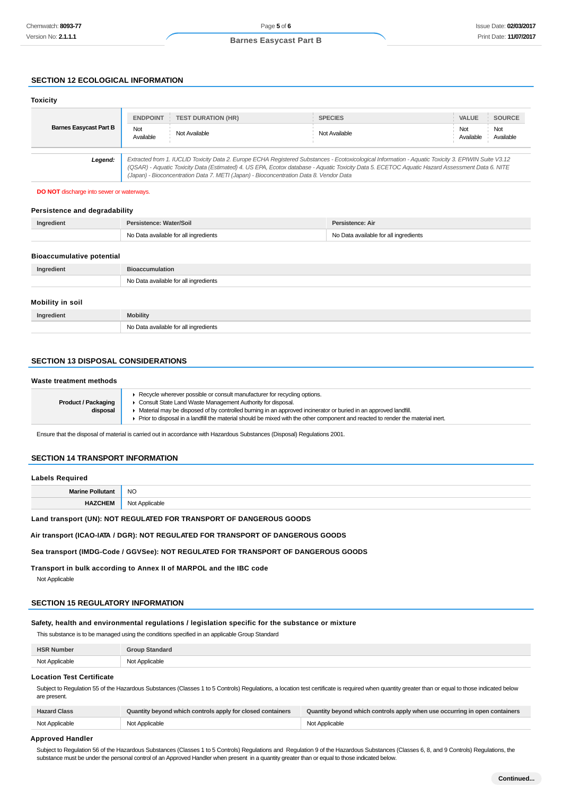## **SECTION 12 ECOLOGICAL INFORMATION**

#### **Toxicity Barnes Easycast Part B ENDPOINT TEST DURATION (HR) SPECIES VALUE SOURCE** Not Available Not Available Not Available Not Available Not Available **Legend:** Extracted from 1. IUCLID Toxicity Data 2. Europe ECHA Registered Substances - Ecotoxicological Information - Aquatic Toxicity 3. EPIWIN Suite V3.12 (QSAR) - Aquatic Toxicity Data (Estimated) 4. US EPA, Ecotox database - Aquatic Toxicity Data 5. ECETOC Aquatic Hazard Assessment Data 6. NITE (Japan) - Bioconcentration Data 7. METI (Japan) - Bioconcentration Data 8. Vendor Data

**DO NOT** discharge into sewer or waterways.

#### **Persistence and degradability**

| Ingredient | Persistence: Water/Soil               | Persistence: Air                      |
|------------|---------------------------------------|---------------------------------------|
|            | No Data available for all ingredients | No Data available for all ingredients |
|            |                                       |                                       |

#### **Bioaccumulative potential**

| Ingredient       | <b>Bioaccumulation</b>                |
|------------------|---------------------------------------|
|                  | No Data available for all ingredients |
| Mobility in soil |                                       |
| Ingredient       | <b>Mobility</b>                       |

## **SECTION 13 DISPOSAL CONSIDERATIONS**

#### **Waste treatment methods**

|                            | ► Recycle wherever possible or consult manufacturer for recycling options.                                                      |  |
|----------------------------|---------------------------------------------------------------------------------------------------------------------------------|--|
| <b>Product / Packaging</b> | • Consult State Land Waste Management Authority for disposal.                                                                   |  |
| disposal                   | Material may be disposed of by controlled burning in an approved incinerator or buried in an approved landfill.                 |  |
|                            | Prior to disposal in a landfill the material should be mixed with the other component and reacted to render the material inert. |  |
|                            |                                                                                                                                 |  |

Ensure that the disposal of material is carried out in accordance with Hazardous Substances (Disposal) Regulations 2001.

#### **SECTION 14 TRANSPORT INFORMATION**

#### **Labels Required**

| Marin | NC.    |
|-------|--------|
|       | $\sim$ |
|       |        |

**Land transport (UN): NOT REGULATED FOR TRANSPORT OF DANGEROUS GOODS**

No Data available for all ingredients

**Air transport (ICAO-IATA / DGR): NOT REGULATED FOR TRANSPORT OF DANGEROUS GOODS**

#### **Sea transport (IMDG-Code / GGVSee): NOT REGULATED FOR TRANSPORT OF DANGEROUS GOODS**

**Transport in bulk according to Annex II of MARPOL and the IBC code**

Not Applicable

## **SECTION 15 REGULATORY INFORMATION**

**Safety, health and environmental regulations / legislation specific for the substance or mixture**

This substance is to be managed using the conditions specified in an applicable Group Standard

| <b>HSR Number</b> | <b>Group Standard</b> |
|-------------------|-----------------------|
| Not Applicable    | Not Applicable        |

#### **Location Test Certificate**

Subject to Regulation 55 of the Hazardous Substances (Classes 1 to 5 Controls) Regulations, a location test certificate is required when quantity greater than or equal to those indicated below are present.

| <b>Hazard Class</b> | Quantity beyond which controls apply for closed containers | Quantity beyond which controls apply when use occurring in open containers |
|---------------------|------------------------------------------------------------|----------------------------------------------------------------------------|
| Not Applicable      | Not Applicable                                             | Not Applicable                                                             |

#### **Approved Handler**

Subject to Regulation 56 of the Hazardous Substances (Classes 1 to 5 Controls) Regulations and Regulation 9 of the Hazardous Substances (Classes 6, 8, and 9 Controls) Regulations, the substance must be under the personal control of an Approved Handler when present in a quantity greater than or equal to those indicated below.